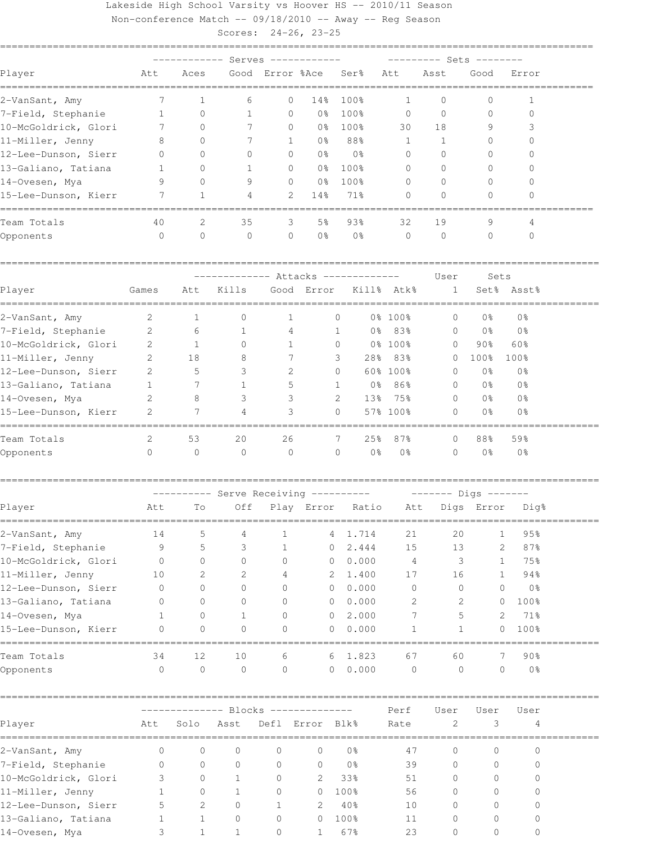## Lakeside High School Varsity vs Hoover HS -- 2010/11 Season

Non-conference Match -- 09/18/2010 -- Away -- Reg Season

Scores: 24-26, 23-25

|                                                             |              |                                      |                                       | Serves -----                |                |                  |                |                | ------ Sets ------     |                |                     |
|-------------------------------------------------------------|--------------|--------------------------------------|---------------------------------------|-----------------------------|----------------|------------------|----------------|----------------|------------------------|----------------|---------------------|
| Player                                                      | Att          | Aces                                 |                                       | Good Error %Ace             |                | Ser <sup>8</sup> |                | Att            | Asst                   | Good           | Error               |
| 2-VanSant, Amy                                              | 7            | 1                                    | 6                                     | 0                           | 14%            | 100%             |                | 1              | 0                      | 0              | 1                   |
| 7-Field, Stephanie                                          | $\mathbf{1}$ | $\circ$                              | 1                                     | $\mathbf{0}$                | 0 <sub>8</sub> | 100%             |                | $\mathbf{0}$   | $\Omega$               | $\mathbf{0}$   | $\mathbf{0}$        |
| 10-McGoldrick, Glori                                        | 7            | $\Omega$                             | 7                                     | 0                           | 0%             | 100%             |                | 30             | 18                     | 9              | 3                   |
| 11-Miller, Jenny                                            | 8            | $\Omega$                             | 7                                     | $\mathbf{1}$                | 0 <sub>8</sub> | 88%              |                | $\mathbf{1}$   | $\mathbf{1}$           | $\mathbf{0}$   | 0                   |
| 12-Lee-Dunson, Sierr                                        | 0            | $\Omega$                             | 0                                     | 0                           | 0 <sup>°</sup> |                  | 0 <sub>8</sub> | $\mathbf{0}$   | $\Omega$               | $\mathbf{0}$   | 0                   |
| 13-Galiano, Tatiana                                         | 1            | 0                                    | 1                                     | 0                           | 0 <sup>°</sup> | 100%             |                | $\mathbf{0}$   | $\Omega$               | $\Omega$       | $\bigcap$           |
| 14-Ovesen, Mya                                              | 9            | $\Omega$                             | 9                                     | 0                           | 0 <sup>°</sup> | 100%             |                | 0              | $\Omega$               | $\Omega$       | 0                   |
| 15-Lee-Dunson, Kierr                                        | 7            | $\mathbf{1}$                         | 4                                     | 2                           | 14%            | 71%              |                | $\Omega$       | $\Omega$               | $\Omega$       | 0                   |
| Team Totals                                                 | 40           | 2                                    | 35                                    | 3                           | 5 <sup>°</sup> | 93%              |                | 32             | 19                     | 9              | 4                   |
| Opponents                                                   | $\circ$      | $\circ$                              | $\mathbf{0}$                          | 0                           | 0 <sup>°</sup> |                  | 0 <sub>8</sub> | $\mathbf 0$    | $\Omega$               | $\mathbf{0}$   | $\Omega$            |
|                                                             |              |                                      |                                       | ----- Attacks ------------- |                |                  |                |                | User                   | Sets           |                     |
| Player                                                      | Games        | Att                                  | Kills                                 |                             | Good Error     |                  |                | Kill% Atk%     | 1                      | Set%           | Asst%               |
| 2-VanSant, Amy                                              | 2            | 1                                    | 0                                     | 1                           |                | 0                |                | 0% 100%        | 0                      | 0%             | 0 <sub>8</sub>      |
| 7-Field, Stephanie                                          | 2            | 6                                    | 1                                     | 4                           |                | $\mathbf{1}$     |                | 0% 83%         | $\mathbf{0}$           | 0 %            | 0 <sup>°</sup>      |
| 10-McGoldrick, Glori                                        | 2            | 1                                    | $\Omega$                              | 1                           |                | $\Omega$         |                | 0% 100%        | 0                      | 90%            | 60%                 |
| 11-Miller, Jenny                                            | 2            | 18                                   | 8                                     | 7                           |                | 3                | 28%            | 83%            | $\Omega$               | 100%           | 100%                |
| 12-Lee-Dunson, Sierr                                        | 2            | 5                                    | 3                                     | 2                           |                | $\circ$          |                | 60% 100%       | 0                      | 0 <sub>8</sub> | 0 <sup>°</sup>      |
| 13-Galiano, Tatiana                                         | 1            | 7                                    | 1                                     | 5                           |                | 1                | 0 %            | 86%            | $\Omega$               | 0 <sup>°</sup> | 0 <sup>°</sup>      |
| 14-Ovesen, Mya                                              | 2            | 8                                    | 3                                     | 3                           |                | 2                | 13%            | 75%            | 0                      | 0 <sup>°</sup> | 0 <sup>°</sup>      |
| 15-Lee-Dunson, Kierr                                        | 2            | 7                                    | 4                                     | 3                           |                | $\Omega$         |                | 57% 100%       | 0                      | 0 <sub>8</sub> | 0 <sub>8</sub>      |
| Team Totals                                                 | 2            | 53                                   | 20                                    | 26                          |                | 7                | 25%            | 87%            | $\Omega$               | 88%            | 59%                 |
| Opponents                                                   | $\circ$      | $\circ$                              | $\circ$                               | $\circ$                     |                | $\circ$          | 0 <sup>°</sup> | 0 <sup>°</sup> | $\Omega$               | 0 <sub>8</sub> | 0 <sub>8</sub>      |
|                                                             |              |                                      | ---------- Serve Receiving ---------- |                             |                |                  |                |                | $------$ Digs $------$ |                |                     |
| Player                                                      | Att          | Τo                                   | Off                                   |                             | Play Error     |                  | Ratio          | Att            |                        | Digs Error     | Dig%                |
| 2-VanSant, Amy                                              | 14           | 5                                    | 4                                     | 1                           |                | 4                | 1.714          | 21             | 20                     | $\mathbf{1}$   | 95%                 |
| 7-Field, Stephanie                                          | 9            | 5                                    | 3                                     | 1                           |                | $\circ$          | 2.444          | 15             | 13                     |                | 87%<br>2            |
| 10-McGoldrick, Glori                                        | $\circ$      | $\circ$                              | 0                                     | 0                           |                | 0                | 0.000          | $\overline{4}$ | 3                      |                | 75%<br>1            |
| 11-Miller, Jenny                                            | 10           | 2                                    | 2                                     | 4                           |                | 2 1.400          |                | 17             | 16                     |                | 94%<br>$\mathbf{1}$ |
| 12-Lee-Dunson, Sierr                                        | 0            | 0                                    | 0                                     | 0                           |                | $\mathbf{0}$     | 0.000          | $\circ$        | $\circ$                | 0              | 0%                  |
| 13-Galiano, Tatiana                                         | 0            | 0                                    | 0                                     | 0                           |                | $\circ$          | 0.000          | 2              | 2                      | 0              | 100%                |
| 14-Ovesen, Mya                                              | 1            | $\mathbf{0}$                         | 1                                     | 0                           |                | 0                | 2.000          | 7              | 5                      | 2              | 71%                 |
| 15-Lee-Dunson, Kierr<br>----------------------------------- | 0            | $\Omega$                             | $\circ$                               | $\Omega$                    |                | 0                | 0.000          | 1              | $\mathbf{1}$           | $\Omega$       | 100%                |
| Team Totals                                                 | 34           | 12                                   | 10                                    | 6                           |                | 6                | 1.823          | 67             | 60                     |                | 90 <sub>8</sub>     |
| Opponents                                                   | $\circ$      | $\circ$                              | $\circ$                               | 0                           |                | $\circ$          | 0.000          | $\circ$        | $\circ$                | 0              | 0 <sup>°</sup>      |
|                                                             |              | -------------- Blocks -------------- |                                       |                             |                |                  |                | Perf           | User                   | User           | User                |
| Player                                                      | Att          | Solo                                 | Asst                                  | Defl Error Blk%             |                |                  |                | Rate           | 2                      | 3              | 4                   |
| 2-VanSant, Amy                                              | 0            | 0                                    | $\mathbf 0$                           | 0                           | 0              | 0%               |                | 47             | 0                      | 0              | 0                   |
| 7-Field, Stephanie                                          | 0            | $\mathbf 0$                          | 0                                     | 0                           | 0              | 0 <sup>°</sup>   |                | 39             | 0                      | 0              | 0                   |
| 10-McGoldrick, Glori                                        | 3            | $\mathbf{0}$                         | 1                                     | 0                           | 2              | 33%              |                | 51             | 0                      | 0              | $\circ$             |
| 11-Miller, Jenny                                            | 1            | $\mathbf 0$                          | $\mathbf{1}$                          | 0                           | 0              | 100%             |                | 56             | 0                      | 0              | 0                   |
| 12-Lee-Dunson, Sierr                                        | 5            | $\overline{2}$                       | 0                                     | $\mathbf{1}$                | 2              | 40%              |                | 10             | 0                      | 0              | 0                   |

13-Galiano, Tatiana 1 1 0 0 0 100% 11 0 0 0 14-Ovesen, Mya 3 1 1 0 1 67% 23 0 0 0